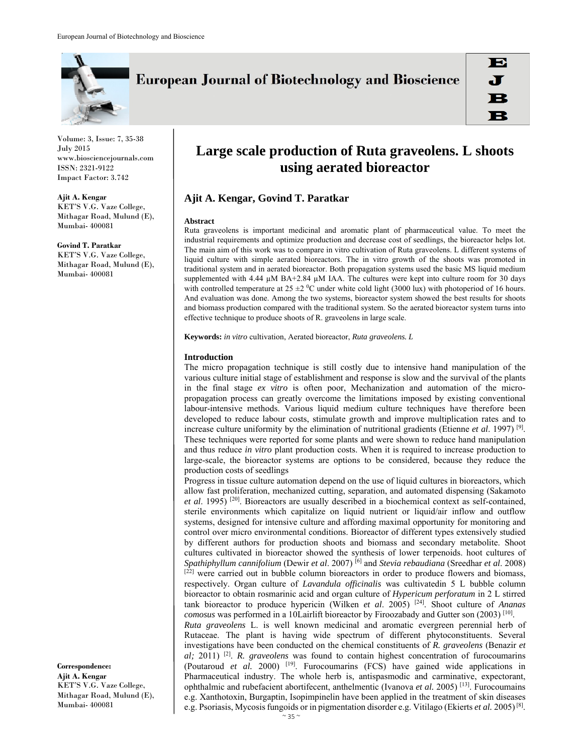

**European Journal of Biotechnology and Bioscience** 

Volume: 3, Issue: 7, 35-38 July 2015 www.biosciencejournals.com ISSN: 2321-9122 Impact Factor: 3.742

**Ajit A. Kengar**  KET'S V.G. Vaze College, Mithagar Road, Mulund (E), Mumbai- 400081

**Govind T. Paratkar**  KET'S V.G. Vaze College, Mithagar Road, Mulund (E), Mumbai- 400081

**Correspondence: Ajit A. Kengar**  KET'S V.G. Vaze College, Mithagar Road, Mulund (E), Mumbai- 400081

# **Large scale production of Ruta graveolens. L shoots using aerated bioreactor**

# **Ajit A. Kengar, Govind T. Paratkar**

#### **Abstract**

Ruta graveolens is important medicinal and aromatic plant of pharmaceutical value. To meet the industrial requirements and optimize production and decrease cost of seedlings, the bioreactor helps lot. The main aim of this work was to compare in vitro cultivation of Ruta graveolens. L different systems of liquid culture with simple aerated bioreactors. The in vitro growth of the shoots was promoted in traditional system and in aerated bioreactor. Both propagation systems used the basic MS liquid medium supplemented with 4.44  $\mu$ M BA+2.84  $\mu$ M IAA. The cultures were kept into culture room for 30 days with controlled temperature at 25  $\pm$ 2 <sup>0</sup>C under white cold light (3000 lux) with photoperiod of 16 hours. And evaluation was done. Among the two systems, bioreactor system showed the best results for shoots and biomass production compared with the traditional system. So the aerated bioreactor system turns into effective technique to produce shoots of R. graveolens in large scale.

**Keywords:** *in vitro* cultivation, Aerated bioreactor, *Ruta graveolens. L*

#### **Introduction**

The micro propagation technique is still costly due to intensive hand manipulation of the various culture initial stage of establishment and response is slow and the survival of the plants in the final stage *ex vitro* is often poor, Mechanization and automation of the micropropagation process can greatly overcome the limitations imposed by existing conventional labour-intensive methods. Various liquid medium culture techniques have therefore been developed to reduce labour costs, stimulate growth and improve multiplication rates and to increase culture uniformity by the elimination of nutritional gradients (Etienne *et al*. 1997) [9]. These techniques were reported for some plants and were shown to reduce hand manipulation and thus reduce *in vitro* plant production costs. When it is required to increase production to large-scale, the bioreactor systems are options to be considered, because they reduce the production costs of seedlings

Progress in tissue culture automation depend on the use of liquid cultures in bioreactors, which allow fast proliferation, mechanized cutting, separation, and automated dispensing (Sakamoto *et al.* 1995) <sup>[20]</sup>. Bioreactors are usually described in a biochemical context as self-contained, sterile environments which capitalize on liquid nutrient or liquid/air inflow and outflow systems, designed for intensive culture and affording maximal opportunity for monitoring and control over micro environmental conditions. Bioreactor of different types extensively studied by different authors for production shoots and biomass and secondary metabolite. Shoot cultures cultivated in bioreactor showed the synthesis of lower terpenoids. hoot cultures of *Spathiphyllum cannifolium* (Dewir *et al*. 2007) [6] and *Stevia rebaudiana* (Sreedhar *et al*. 2008)  $[22]$  were carried out in bubble column bioreactors in order to produce flowers and biomass, respectively. Organ culture of *Lavandula officinalis* was cultivatedin 5 L bubble column bioreactor to obtain rosmarinic acid and organ culture of *Hypericum perforatum* in 2 L stirred tank bioreactor to produce hypericin (Wilken *et al*. 2005) [24]. Shoot culture of *Ananas comosus* was performed in a 10Lairlift bioreactor by Firoozabady and Gutter son (2003) [10]. *Ruta graveolens* L. is well known medicinal and aromatic evergreen perennial herb of Rutaceae. The plant is having wide spectrum of different phytoconstituents. Several investigations have been conducted on the chemical constituents of *R. graveolens* (Benazir *et al;* 2011) [2]. *R. graveolens* was found to contain highest concentration of furocoumarins (Poutaroud *et al.* 2000) [19]. Furocoumarins (FCS) have gained wide applications in Pharmaceutical industry. The whole herb is, antispasmodic and carminative, expectorant, ophthalmic and rubefacient abortifecent, anthelmentic (Ivanova *et al.* 2005) [13]. Furocoumains e.g. Xanthotoxin, Burgaptin, Isopimpinelin have been applied in the treatment of skin diseases

e.g. Psoriasis, Mycosis fungoids or in pigmentation disorder e.g. Vitilago (Ekierts *et al.* 2005)[8].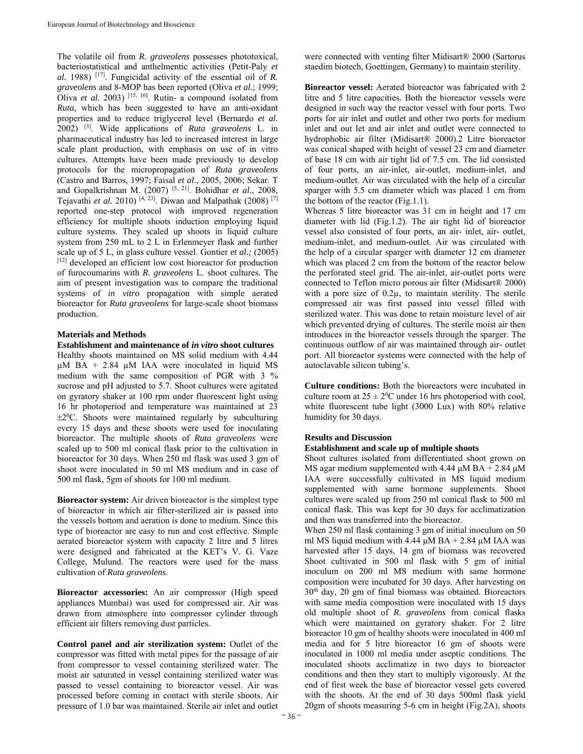The volatile oil from *R. graveolens* possesses phototoxical, bacteriostatistical and anthelmentic activities (Petit-Paly *et al.* 1988) [17]. Fungicidal activity of the essential oil of *R. graveolens* and 8-MOP has been reported (Oliva *et al.*; 1999; Oliva *et al.* 2003)<sup>[15, 16]</sup>. Rutin- a compound isolated from *Ruta,* which has been suggested to have an anti-oxidant properties and to reduce triglycerol level (Bernardo *et al.* 2002) [3]. Wide applications of *Ruta graveolens* L. in pharmaceutical industry has led to increased interest in large scale plant production, with emphasis on use of in vitro cultures. Attempts have been made previously to develop protocols for the micropropagation of *Ruta graveolens* (Castro and Barros, 1997; Faisal *et al.*, 2005, 2006; Sekar. T and Gopalkrishnan M. (2007) [5, 21]. Bohidhar *et al.*, 2008, Tejavathi *et al.* 2010) <sup>[4, 23]</sup>. Diwan and Malpathak (2008) <sup>[7]</sup> reported one-step protocol with improved regeneration efficiency for multiple shoots induction employing liquid culture systems. They scaled up shoots in liquid culture system from 250 mL to 2 L in Erlenmeyer flask and further scale up of 5 L, in glass culture vessel. Gontier *et al.;* (2005) [12] developed an efficient low cost bioreactor for production of furocoumarins with *R. graveolens* L. shoot cultures. The aim of present investigation was to compare the traditional systems of *in vitro* propagation with simple aerated bioreactor for *Ruta graveolens* for large-scale shoot biomass production.

### **Materials and Methods**

**Establishment and maintenance of** *in vitro* **shoot cultures**  Healthy shoots maintained on MS solid medium with 4.44  $\mu$ M BA + 2.84  $\mu$ M IAA were inoculated in liquid MS medium with the same composition of PGR with 3 % sucrose and pH adjusted to 5.7. Shoot cultures were agitated on gyratory shaker at 100 rpm under fluorescent light using 16 hr photoperiod and temperature was maintained at 23  $\pm 2^0$ C. Shoots were maintained regularly by subculturing every 15 days and these shoots were used for inoculating bioreactor. The multiple shoots of *Ruta graveolens* were scaled up to 500 ml conical flask prior to the cultivation in bioreactor for 30 days. When 250 ml flask was used 3 gm of shoot were inoculated in 50 ml MS medium and in case of 500 ml flask, 5gm of shoots for 100 ml medium.

**Bioreactor system:** Air driven bioreactor is the simplest type of bioreactor in which air filter-sterilized air is passed into the vessels bottom and aeration is done to medium. Since this type of bioreactor are easy to run and cost effective. Simple aerated bioreactor system with capacity 2 litre and 5 litres were designed and fabricated at the KET's V. G. Vaze College, Mulund. The reactors were used for the mass cultivation of *Ruta graveolens*.

**Bioreactor accessories:** An air compressor (High speed appliances Mumbai) was used for compressed air. Air was drawn from atmosphere into compressor cylinder through efficient air filters removing dust particles.

**Control panel and air sterilization system:** Outlet of the compressor was fitted with metal pipes for the passage of air from compressor to vessel containing sterilized water. The moist air saturated in vessel containing sterilized water was passed to vessel containing to bioreactor vessel. Air was processed before coming in contact with sterile shoots. Air pressure of 1.0 bar was maintained. Sterile air inlet and outlet

were connected with venting filter Midisart® 2000 (Sartorus staedim biotech, Goettingen, Germany) to maintain sterility.

**Bioreactor vessel:** Aerated bioreactor was fabricated with 2 litre and 5 litre capacities. Both the bioreactor vessels were designed in such way the reactor vessel with four ports. Two ports for air inlet and outlet and other two ports for medium inlet and out let and air inlet and outlet were connected to hydrophobic air filter (Midisart® 2000).2 Litre bioreactor was conical shaped with height of vessel 23 cm and diameter of base 18 cm with air tight lid of 7.5 cm. The lid consisted of four ports, an air-inlet, air-outlet, medium-inlet, and medium-outlet. Air was circulated with the help of a circular sparger with 5.5 cm diameter which was placed 1 cm from the bottom of the reactor (Fig.1.1).

Whereas 5 litre bioreactor was 31 cm in height and 17 cm diameter with lid (Fig.1.2). The air tight lid of bioreactor vessel also consisted of four ports, an air- inlet, air- outlet, medium-inlet, and medium-outlet. Air was circulated with the help of a circular sparger with diameter 12 cm diameter which was placed 2 cm from the bottom of the reactor below the perforated steel grid. The air-inlet, air-outlet ports were connected to Teflon micro porous air filter (Midisart® 2000) with a pore size of 0.2µ, to maintain sterility. The sterile compressed air was first passed into vessel filled with sterilized water. This was done to retain moisture level of air which prevented drying of cultures. The sterile moist air then introduces in the bioreactor vessels through the sparger. The continuous outflow of air was maintained through air- outlet port. All bioreactor systems were connected with the help of autoclavable silicon tubing's.

**Culture conditions:** Both the bioreactors were incubated in culture room at  $25 \pm 2^0$ C under 16 hrs photoperiod with cool, white fluorescent tube light (3000 Lux) with 80% relative humidity for 30 days.

## **Results and Discussion**

### **Establishment and scale up of multiple shoots**

Shoot cultures isolated from differentiated shoot grown on MS agar medium supplemented with 4.44  $\mu$ M BA + 2.84  $\mu$ M IAA were successfully cultivated in MS liquid medium supplemented with same hormone supplements. Shoot cultures were scaled up from 250 ml conical flask to 500 ml conical flask. This was kept for 30 days for acclimatization and then was transferred into the bioreactor.

When 250 ml flask containing 3 gm of initial inoculum on 50 ml MS liquid medium with  $4.44 \mu M BA + 2.84 \mu M IAA$  was harvested after 15 days, 14 gm of biomass was recovered Shoot cultivated in 500 ml flask with 5 gm of initial inoculum on 200 ml MS medium with same hormone composition were incubated for 30 days. After harvesting on 30th day, 20 gm of final biomass was obtained. Bioreactors with same media composition were inoculated with 15 days old multiple shoot of *R. graveolens* from conical flasks which were maintained on gyratory shaker. For 2 litre bioreactor 10 gm of healthy shoots were inoculated in 400 ml media and for 5 litre bioreactor 16 gm of shoots were inoculated in 1000 ml media under aseptic conditions. The inoculated shoots acclimatize in two days to bioreactor conditions and then they start to multiply vigorously. At the end of first week the base of bioreactor vessel gets covered with the shoots. At the end of 30 days 500ml flask yield 20gm of shoots measuring 5-6 cm in height (Fig.2A), shoots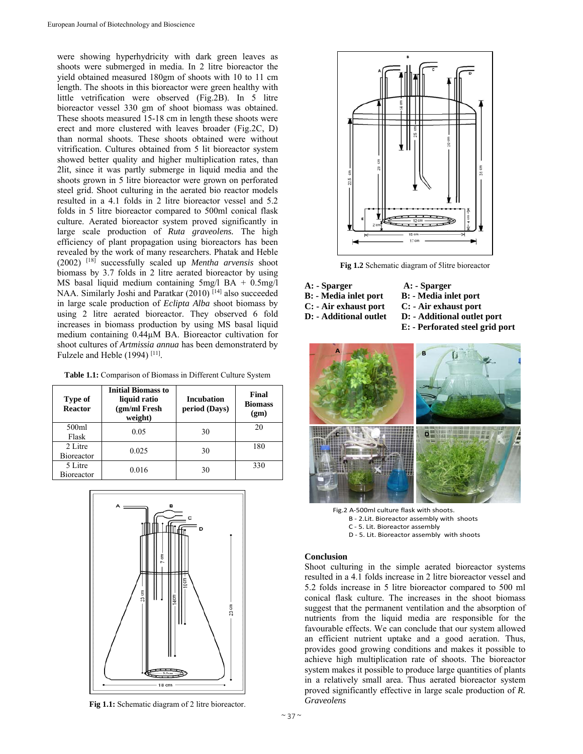were showing hyperhydricity with dark green leaves as shoots were submerged in media. In 2 litre bioreactor the yield obtained measured 180gm of shoots with 10 to 11 cm length. The shoots in this bioreactor were green healthy with little vetrification were observed (Fig.2B). In 5 litre bioreactor vessel 330 gm of shoot biomass was obtained. These shoots measured 15-18 cm in length these shoots were erect and more clustered with leaves broader (Fig.2C, D) than normal shoots. These shoots obtained were without vitrification. Cultures obtained from 5 lit bioreactor system showed better quality and higher multiplication rates, than 2lit, since it was partly submerge in liquid media and the shoots grown in 5 litre bioreactor were grown on perforated steel grid. Shoot culturing in the aerated bio reactor models resulted in a 4.1 folds in 2 litre bioreactor vessel and 5.2 folds in 5 litre bioreactor compared to 500ml conical flask culture. Aerated bioreactor system proved significantly in large scale production of *Ruta graveolens.* The high efficiency of plant propagation using bioreactors has been revealed by the work of many researchers. Phatak and Heble (2002) [18] successfully scaled up *Mentha arvensis* shoot biomass by 3.7 folds in 2 litre aerated bioreactor by using MS basal liquid medium containing 5mg/l BA + 0.5mg/l NAA. Similarly Joshi and Paratkar (2010)<sup>[14]</sup> also succeeded in large scale production of *Eclipta Alba* shoot biomass by using 2 litre aerated bioreactor. They observed 6 fold increases in biomass production by using MS basal liquid medium containing 0.44µM BA. Bioreactor cultivation for shoot cultures of *Artmissia annua* has been demonstraterd by Fulzele and Heble (1994)<sup>[11]</sup>.

|  |  |  |  | Table 1.1: Comparison of Biomass in Different Culture System |
|--|--|--|--|--------------------------------------------------------------|
|--|--|--|--|--------------------------------------------------------------|

| Type of<br><b>Reactor</b>    | <b>Initial Biomass to</b><br>liquid ratio<br>(gm/ml Fresh<br>weight) | <b>Incubation</b><br>period (Days) | Final<br><b>Biomass</b><br>(gm) |
|------------------------------|----------------------------------------------------------------------|------------------------------------|---------------------------------|
| 500ml<br>Flask               | 0.05                                                                 | 30                                 | 20                              |
| 2 Litre<br><b>Bioreactor</b> | 0.025                                                                | 30                                 | 180                             |
| 5 Litre<br><b>Bioreactor</b> | 0.016                                                                | 30                                 | 330                             |



**Fig 1.1:** Schematic diagram of 2 litre bioreactor.



**Fig 1.2** Schematic diagram of 5litre bioreactor

- **A: Sparger A: Sparger**
- **B: Media inlet port B: Media inlet port**
- 
- 
- **C: Air exhaust port C: Air exhaust port**
- **D: Additional outlet D: Additional outlet port** 
	- **E: Perforated steel grid port**



- Fig.2 A‐500ml culture flask with shoots.
	- B ‐ 2.Lit. Bioreactor assembly with shoots
	- C ‐ 5. Lit. Bioreactor assembly
	- D ‐ 5. Lit. Bioreactor assembly with shoots

## **Conclusion**

Shoot culturing in the simple aerated bioreactor systems resulted in a 4.1 folds increase in 2 litre bioreactor vessel and 5.2 folds increase in 5 litre bioreactor compared to 500 ml conical flask culture. The increases in the shoot biomass suggest that the permanent ventilation and the absorption of nutrients from the liquid media are responsible for the favourable effects. We can conclude that our system allowed an efficient nutrient uptake and a good aeration. Thus, provides good growing conditions and makes it possible to achieve high multiplication rate of shoots. The bioreactor system makes it possible to produce large quantities of plants in a relatively small area. Thus aerated bioreactor system proved significantly effective in large scale production of *R. Graveolens*